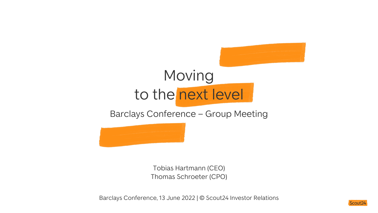# Moving to the next level

Barclays Conference – Group Meeting



Tobias Hartmann (CEO) Thomas Schroeter (CPO)

Barclays Conference, 13 June 2022 | © Scout24 Investor Relations

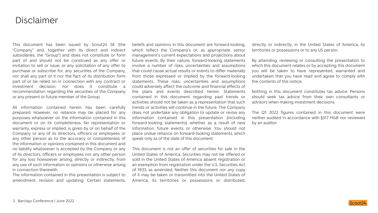### Disclaimer

This document has been issued by Scout24 SE (the "Company" and, together with its direct and indirect subsidiaries, the "Group") and does not constitute or form part of and should not be construed as any offer or invitation to sell or issue, or any solicitation of any offer to purchase or subscribe for, any securities of the Company, nor shall any part of it nor the fact of its distribution form part of or be relied on in connection with any contract or investment decision, nor does it constitute a recommendation regarding the securities of the Company or any present or future member of the Group.

All information contained herein has been carefully prepared. However, no reliance may be placed for any purposes whatsoever on the information contained in this document or on its completeness. No representation or warranty, express or implied, is given by or on behalf of the Company or any of its directors, officers or employees or any other person as to the accuracy or completeness of the information or opinions contained in this document and no liability whatsoever is accepted by the Company or any of its directors, officers or employees nor any other person for any loss howsoever arising, directly or indirectly, from any use of such information or opinions or otherwise arising in connection therewith.

The information contained in this presentation is subject to amendment, revision and updating. Certain statements,

beliefs and opinions in this document are forward-looking, which reflect the Company's or, as appropriate, senior management's current expectations and projections about future events. By their nature, forward-looking statements involve a number of risks, uncertainties and assumptions that could cause actual results or events to differ materially from those expressed or implied by the forward-looking statements. These risks, uncertainties and assumptions could adversely affect the outcome and financial effects of the plans and events described herein. Statements contained in this document regarding past trends or activities should not be taken as a representation that such trends or activities will continue in the future. The Company does not undertake any obligation to update or revise any information contained in this presentation (including forward-looking statements), whether as a result of new information, future events or otherwise. You should not place undue reliance on forward-looking statements, which speak only as of the date of this document.

This document is not an offer of securities for sale in the United States of America. Securities may not be offered or sold in the United States of America absent registration or an exemption from registration under the U.S. Securities Act of 1933, as amended. Neither this document nor any copy of it may be taken or transmitted into the United States of America, its territories or possessions or distributed,

directly or indirectly, in the United States of America, its territories or possessions or to any US person.

By attending, reviewing or consulting the presentation to which this document relates or by accepting this document you will be taken to have represented, warranted and undertaken that you have read and agree to comply with the contents of this notice.

Nothing in this document constitutes tax advice. Persons should seek tax advice from their own consultants or advisors when making investment decisions.

The Q1 2022 figures contained in this document were neither audited in accordance with §317 HGB nor reviewed by an auditor.

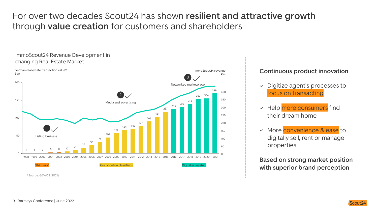### For over two decades Scout24 has shown **resilient and attractive growth**  through **value creation** for customers and shareholders

#### ImmoScout24 Revenue Development in changing Real Estate Market



#### **Continuous product innovation**

- $\vee$  Digitize agent's processes to focus on transacting
- $\vee$  Help more consumers find their dream home
- More convenience & ease to digitally sell, rent or manage properties

**Based on strong market position with superior brand perception**

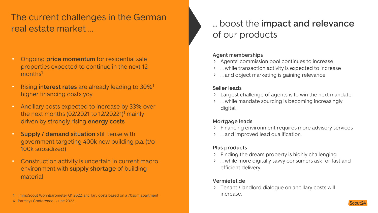### The current challenges in the German real estate market …

- Ongoing **price momentum** for residential sale properties expected to continue in the next 12 months<sup>1</sup>
- Rising **interest rates** are already leading to 30%1 higher financing costs yoy
- Ancillary costs expected to increase by 33% over the next months  $(02/2021$  to  $12/20221$ <sup>1</sup> mainly driven by strongly rising **energy costs**
- **Supply / demand situation** still tense with government targeting 400k new building p.a. (t/o 100k subsidized)
- Construction activity is uncertain in current macro environment with **supply shortage** of building material

#### 4 Barclays Conference | June 2022

### ... boost the **impact and relevance**  of our products

#### **Agent memberships**

- Agents' commission pool continues to increase
- … while transaction activity is expected to increase
- … and object marketing is gaining relevance

#### **Seller leads**

- Largest challenge of agents is to win the next mandate
- … while mandate sourcing is becoming increasingly digital.

#### **Mortgage leads**

- Financing environment requires more advisory services
- … and improved lead qualification.

#### **Plus products**

- $\angle$  Finding the dream property is highly challenging
- … while more digitally savvy consumers ask for fast and efficient delivery.

#### **Vermietet.de**

> Tenant / landlord dialogue on ancillary costs will increase.



<sup>1)</sup> ImmoScout WohnBarometer Q1 2022; ancillary costs based on a 70sqm apartment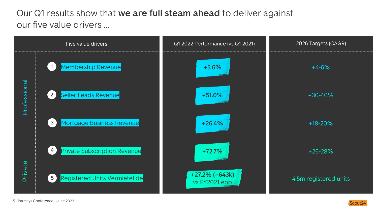### Our Q1 results show that **we are full steam ahead** to deliver against our five value drivers …



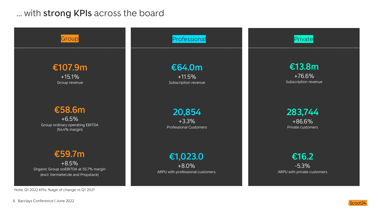### … with **strong KPIs** across the board